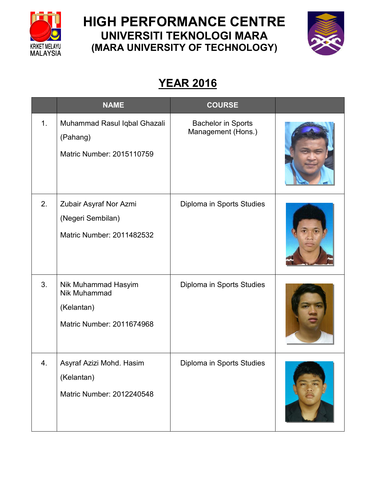

## **HIGH PERFORMANCE CENTRE UNIVERSITI TEKNOLOGI MARA (MARA UNIVERSITY OF TECHNOLOGY)**



## **YEAR 2016**

|    | <b>NAME</b>                                                                    | <b>COURSE</b>                                   |  |
|----|--------------------------------------------------------------------------------|-------------------------------------------------|--|
| 1. | Muhammad Rasul Iqbal Ghazali<br>(Pahang)<br>Matric Number: 2015110759          | <b>Bachelor in Sports</b><br>Management (Hons.) |  |
| 2. | Zubair Asyraf Nor Azmi<br>(Negeri Sembilan)<br>Matric Number: 2011482532       | Diploma in Sports Studies                       |  |
| 3. | Nik Muhammad Hasyim<br>Nik Muhammad<br>(Kelantan)<br>Matric Number: 2011674968 | Diploma in Sports Studies                       |  |
| 4. | Asyraf Azizi Mohd. Hasim<br>(Kelantan)<br>Matric Number: 2012240548            | Diploma in Sports Studies                       |  |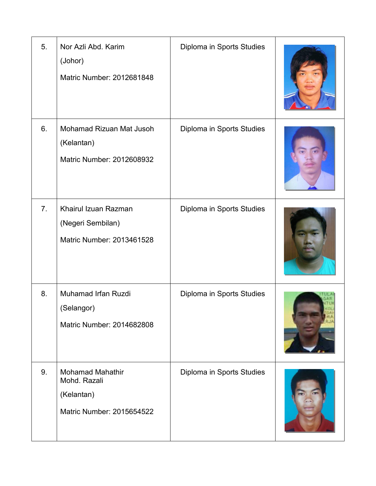| 5.             | Nor Azli Abd. Karim<br>(Johor)<br>Matric Number: 2012681848                        | Diploma in Sports Studies |  |
|----------------|------------------------------------------------------------------------------------|---------------------------|--|
| 6.             | Mohamad Rizuan Mat Jusoh<br>(Kelantan)<br>Matric Number: 2012608932                | Diploma in Sports Studies |  |
| 7 <sub>1</sub> | Khairul Izuan Razman<br>(Negeri Sembilan)<br>Matric Number: 2013461528             | Diploma in Sports Studies |  |
| 8.             | Muhamad Irfan Ruzdi<br>(Selangor)<br>Matric Number: 2014682808                     | Diploma in Sports Studies |  |
| 9.             | <b>Mohamad Mahathir</b><br>Mohd. Razali<br>(Kelantan)<br>Matric Number: 2015654522 | Diploma in Sports Studies |  |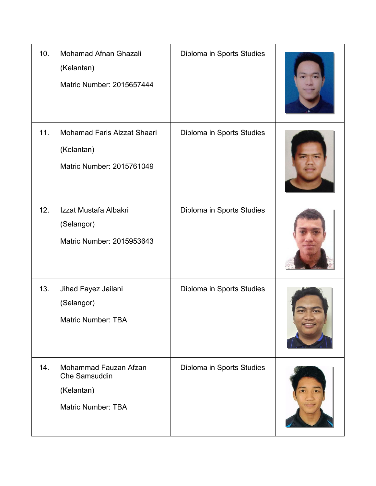| 10. | Mohamad Afnan Ghazali<br>(Kelantan)<br>Matric Number: 2015657444                  | Diploma in Sports Studies |  |
|-----|-----------------------------------------------------------------------------------|---------------------------|--|
| 11. | <b>Mohamad Faris Aizzat Shaari</b><br>(Kelantan)<br>Matric Number: 2015761049     | Diploma in Sports Studies |  |
| 12. | Izzat Mustafa Albakri<br>(Selangor)<br>Matric Number: 2015953643                  | Diploma in Sports Studies |  |
| 13. | Jihad Fayez Jailani<br>(Selangor)<br><b>Matric Number: TBA</b>                    | Diploma in Sports Studies |  |
| 14. | Mohammad Fauzan Afzan<br>Che Samsuddin<br>(Kelantan)<br><b>Matric Number: TBA</b> | Diploma in Sports Studies |  |